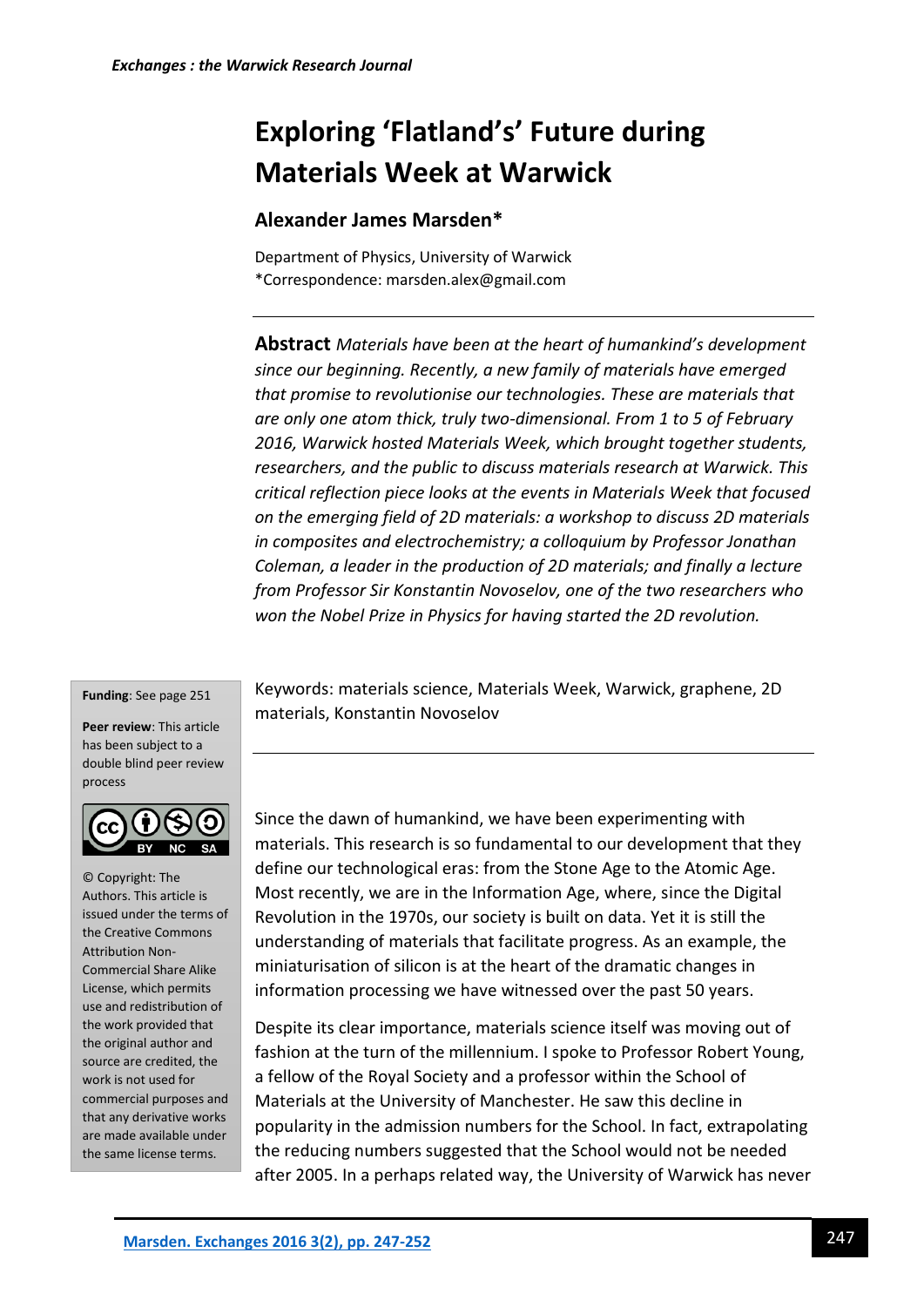# **Exploring 'Flatland's' Future during Materials Week at Warwick**

# **Alexander James Marsden\***

Department of Physics, University of Warwick \*Correspondence: marsden.alex@gmail.com

**Abstract** *Materials have been at the heart of humankind's development since our beginning. Recently, a new family of materials have emerged that promise to revolutionise our technologies. These are materials that are only one atom thick, truly two-dimensional. From 1 to 5 of February 2016, Warwick hosted Materials Week, which brought together students, researchers, and the public to discuss materials research at Warwick. This critical reflection piece looks at the events in Materials Week that focused on the emerging field of 2D materials: a workshop to discuss 2D materials in composites and electrochemistry; a colloquium by Professor Jonathan Coleman, a leader in the production of 2D materials; and finally a lecture from Professor Sir Konstantin Novoselov, one of the two researchers who won the Nobel Prize in Physics for having started the 2D revolution.*

#### **Funding**: See page 251

**Peer review**: This article has been subject to a double blind peer review process



© Copyright: The Authors. This article is issued under the terms of the Creative Commons Attribution Non-Commercial Share Alike License, which permits use and redistribution of the work provided that the original author and source are credited, the work is not used for commercial purposes and that any derivative works are made available under the same license terms.

Keywords: materials science, Materials Week, Warwick, graphene, 2D materials, Konstantin Novoselov

Since the dawn of humankind, we have been experimenting with materials. This research is so fundamental to our development that they define our technological eras: from the Stone Age to the Atomic Age. Most recently, we are in the Information Age, where, since the Digital Revolution in the 1970s, our society is built on data. Yet it is still the understanding of materials that facilitate progress. As an example, the miniaturisation of silicon is at the heart of the dramatic changes in information processing we have witnessed over the past 50 years.

Despite its clear importance, materials science itself was moving out of fashion at the turn of the millennium. I spoke to Professor Robert Young, a fellow of the Royal Society and a professor within the School of Materials at the University of Manchester. He saw this decline in popularity in the admission numbers for the School. In fact, extrapolating the reducing numbers suggested that the School would not be needed after 2005. In a perhaps related way, the University of Warwick has never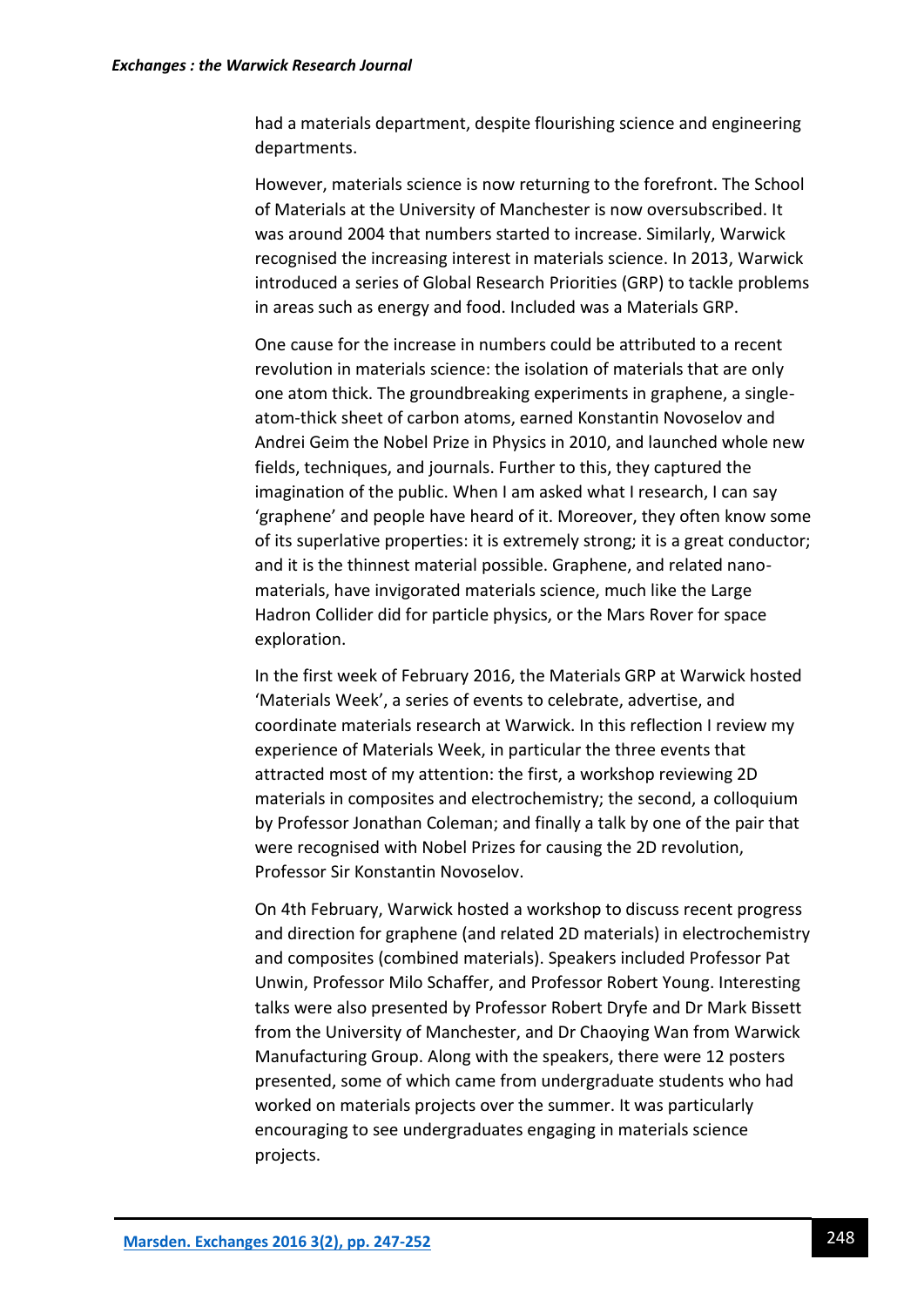had a materials department, despite flourishing science and engineering departments.

However, materials science is now returning to the forefront. The School of Materials at the University of Manchester is now oversubscribed. It was around 2004 that numbers started to increase. Similarly, Warwick recognised the increasing interest in materials science. In 2013, Warwick introduced a series of Global Research Priorities (GRP) to tackle problems in areas such as energy and food. Included was a Materials GRP.

One cause for the increase in numbers could be attributed to a recent revolution in materials science: the isolation of materials that are only one atom thick. The groundbreaking experiments in graphene, a singleatom-thick sheet of carbon atoms, earned Konstantin Novoselov and Andrei Geim the Nobel Prize in Physics in 2010, and launched whole new fields, techniques, and journals. Further to this, they captured the imagination of the public. When I am asked what I research, I can say 'graphene' and people have heard of it. Moreover, they often know some of its superlative properties: it is extremely strong; it is a great conductor; and it is the thinnest material possible. Graphene, and related nanomaterials, have invigorated materials science, much like the Large Hadron Collider did for particle physics, or the Mars Rover for space exploration.

In the first week of February 2016, the Materials GRP at Warwick hosted 'Materials Week', a series of events to celebrate, advertise, and coordinate materials research at Warwick. In this reflection I review my experience of Materials Week, in particular the three events that attracted most of my attention: the first, a workshop reviewing 2D materials in composites and electrochemistry; the second, a colloquium by Professor Jonathan Coleman; and finally a talk by one of the pair that were recognised with Nobel Prizes for causing the 2D revolution, Professor Sir Konstantin Novoselov.

On 4th February, Warwick hosted a workshop to discuss recent progress and direction for graphene (and related 2D materials) in electrochemistry and composites (combined materials). Speakers included Professor Pat Unwin, Professor Milo Schaffer, and Professor Robert Young. Interesting talks were also presented by Professor Robert Dryfe and Dr Mark Bissett from the University of Manchester, and Dr Chaoying Wan from Warwick Manufacturing Group. Along with the speakers, there were 12 posters presented, some of which came from undergraduate students who had worked on materials projects over the summer. It was particularly encouraging to see undergraduates engaging in materials science projects.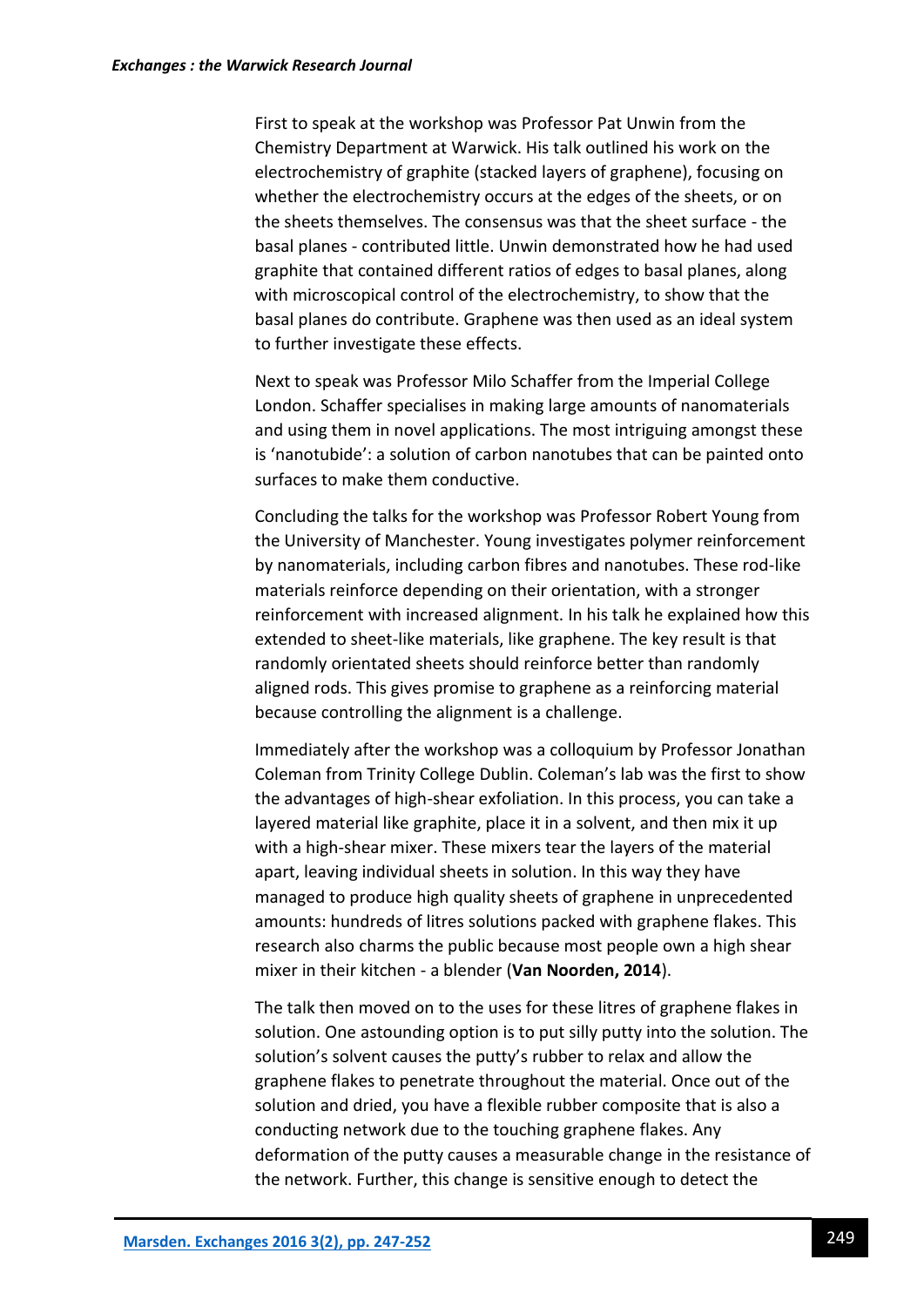First to speak at the workshop was Professor Pat Unwin from the Chemistry Department at Warwick. His talk outlined his work on the electrochemistry of graphite (stacked layers of graphene), focusing on whether the electrochemistry occurs at the edges of the sheets, or on the sheets themselves. The consensus was that the sheet surface - the basal planes - contributed little. Unwin demonstrated how he had used graphite that contained different ratios of edges to basal planes, along with microscopical control of the electrochemistry, to show that the basal planes do contribute. Graphene was then used as an ideal system to further investigate these effects.

Next to speak was Professor Milo Schaffer from the Imperial College London. Schaffer specialises in making large amounts of nanomaterials and using them in novel applications. The most intriguing amongst these is 'nanotubide': a solution of carbon nanotubes that can be painted onto surfaces to make them conductive.

Concluding the talks for the workshop was Professor Robert Young from the University of Manchester. Young investigates polymer reinforcement by nanomaterials, including carbon fibres and nanotubes. These rod-like materials reinforce depending on their orientation, with a stronger reinforcement with increased alignment. In his talk he explained how this extended to sheet-like materials, like graphene. The key result is that randomly orientated sheets should reinforce better than randomly aligned rods. This gives promise to graphene as a reinforcing material because controlling the alignment is a challenge.

Immediately after the workshop was a colloquium by Professor Jonathan Coleman from Trinity College Dublin. Coleman's lab was the first to show the advantages of high-shear exfoliation. In this process, you can take a layered material like graphite, place it in a solvent, and then mix it up with a high-shear mixer. These mixers tear the layers of the material apart, leaving individual sheets in solution. In this way they have managed to produce high quality sheets of graphene in unprecedented amounts: hundreds of litres solutions packed with graphene flakes. This research also charms the public because most people own a high shear mixer in their kitchen - a blender (**Van Noorden, 2014**).

The talk then moved on to the uses for these litres of graphene flakes in solution. One astounding option is to put silly putty into the solution. The solution's solvent causes the putty's rubber to relax and allow the graphene flakes to penetrate throughout the material. Once out of the solution and dried, you have a flexible rubber composite that is also a conducting network due to the touching graphene flakes. Any deformation of the putty causes a measurable change in the resistance of the network. Further, this change is sensitive enough to detect the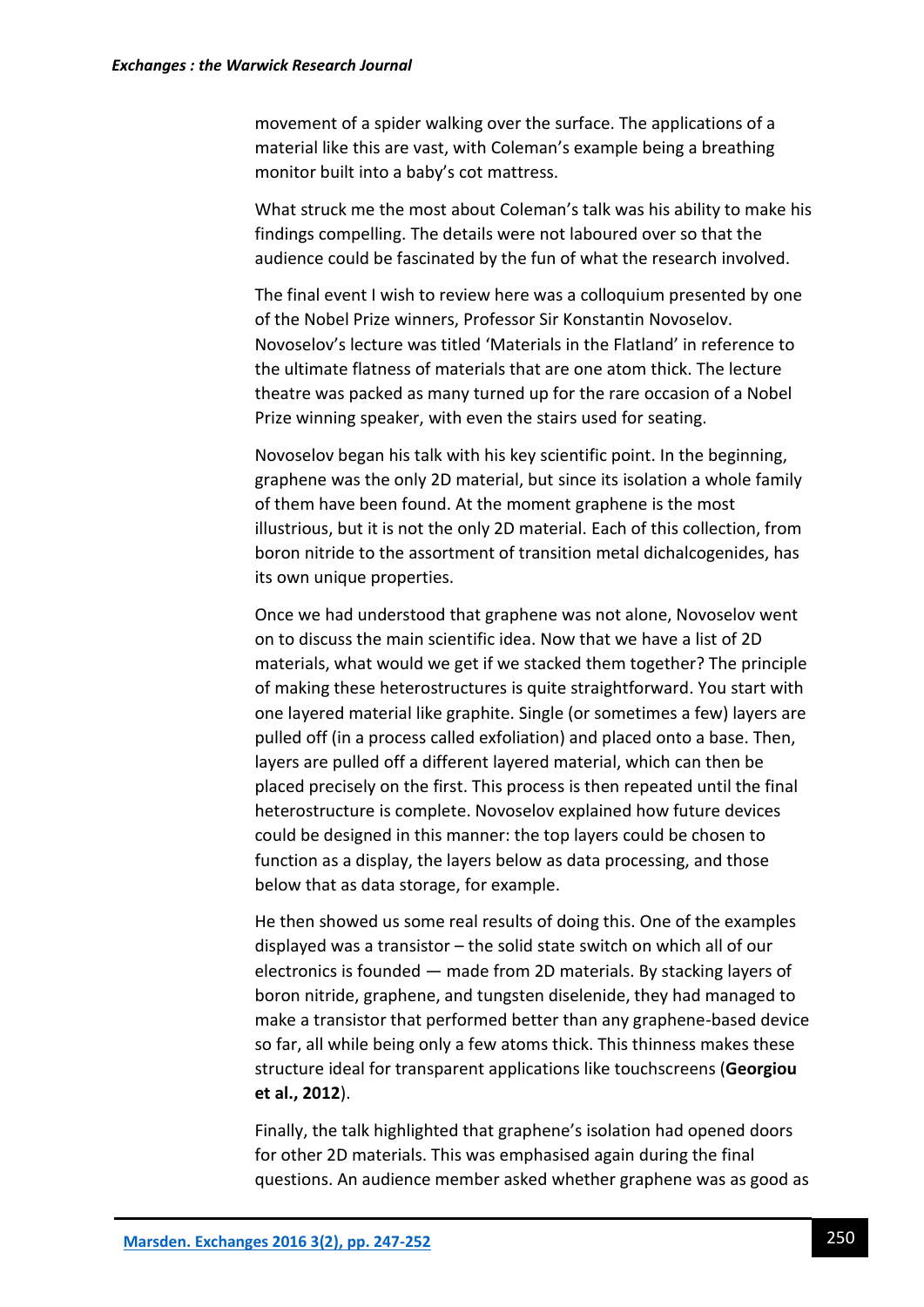movement of a spider walking over the surface. The applications of a material like this are vast, with Coleman's example being a breathing monitor built into a baby's cot mattress.

What struck me the most about Coleman's talk was his ability to make his findings compelling. The details were not laboured over so that the audience could be fascinated by the fun of what the research involved.

The final event I wish to review here was a colloquium presented by one of the Nobel Prize winners, Professor Sir Konstantin Novoselov. Novoselov's lecture was titled 'Materials in the Flatland' in reference to the ultimate flatness of materials that are one atom thick. The lecture theatre was packed as many turned up for the rare occasion of a Nobel Prize winning speaker, with even the stairs used for seating.

Novoselov began his talk with his key scientific point. In the beginning, graphene was the only 2D material, but since its isolation a whole family of them have been found. At the moment graphene is the most illustrious, but it is not the only 2D material. Each of this collection, from boron nitride to the assortment of transition metal dichalcogenides, has its own unique properties.

Once we had understood that graphene was not alone, Novoselov went on to discuss the main scientific idea. Now that we have a list of 2D materials, what would we get if we stacked them together? The principle of making these heterostructures is quite straightforward. You start with one layered material like graphite. Single (or sometimes a few) layers are pulled off (in a process called exfoliation) and placed onto a base. Then, layers are pulled off a different layered material, which can then be placed precisely on the first. This process is then repeated until the final heterostructure is complete. Novoselov explained how future devices could be designed in this manner: the top layers could be chosen to function as a display, the layers below as data processing, and those below that as data storage, for example.

He then showed us some real results of doing this. One of the examples displayed was a transistor – the solid state switch on which all of our electronics is founded — made from 2D materials. By stacking layers of boron nitride, graphene, and tungsten diselenide, they had managed to make a transistor that performed better than any graphene-based device so far, all while being only a few atoms thick. This thinness makes these structure ideal for transparent applications like touchscreens (**Georgiou et al., 2012**).

Finally, the talk highlighted that graphene's isolation had opened doors for other 2D materials. This was emphasised again during the final questions. An audience member asked whether graphene was as good as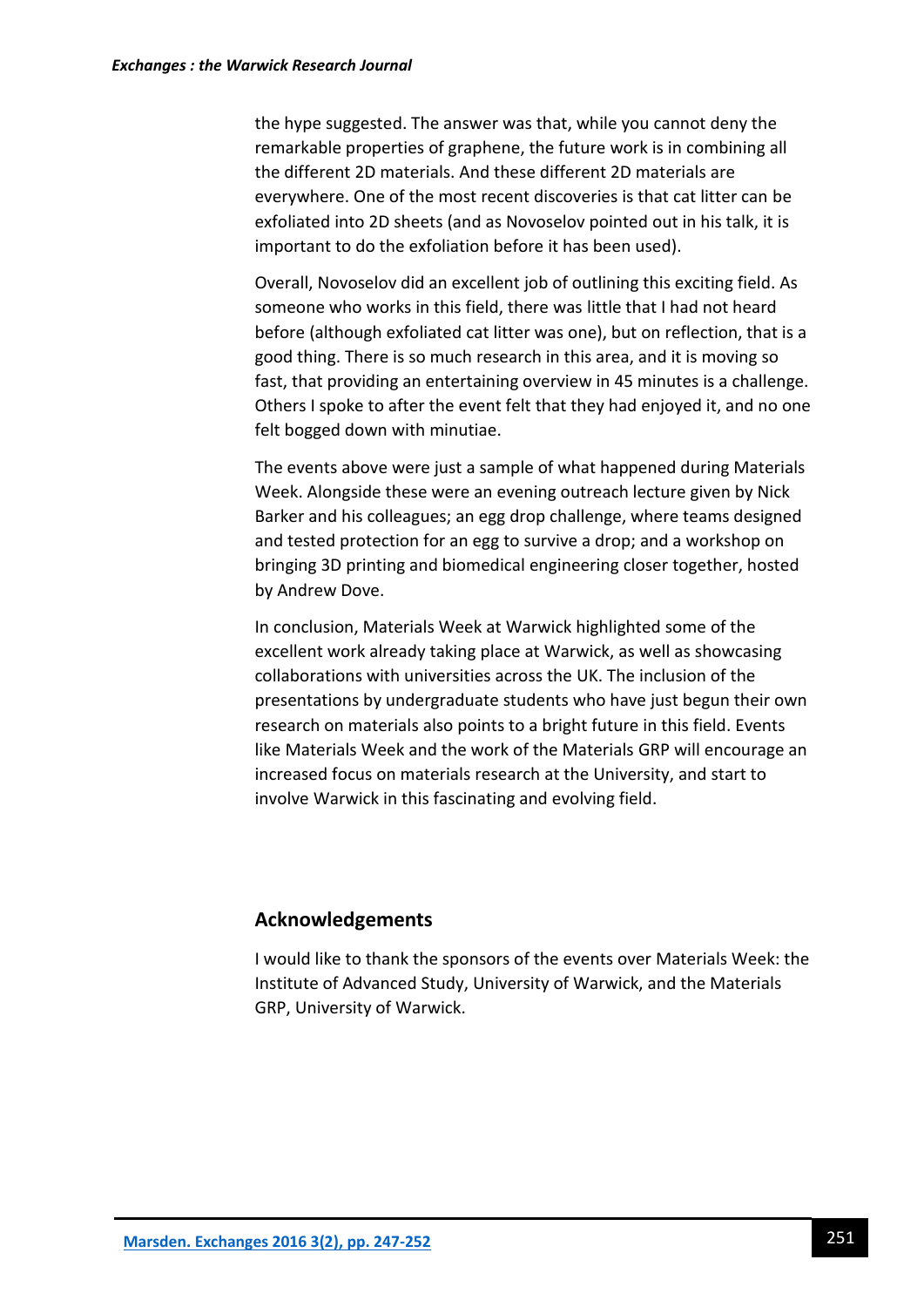the hype suggested. The answer was that, while you cannot deny the remarkable properties of graphene, the future work is in combining all the different 2D materials. And these different 2D materials are everywhere. One of the most recent discoveries is that cat litter can be exfoliated into 2D sheets (and as Novoselov pointed out in his talk, it is important to do the exfoliation before it has been used).

Overall, Novoselov did an excellent job of outlining this exciting field. As someone who works in this field, there was little that I had not heard before (although exfoliated cat litter was one), but on reflection, that is a good thing. There is so much research in this area, and it is moving so fast, that providing an entertaining overview in 45 minutes is a challenge. Others I spoke to after the event felt that they had enjoyed it, and no one felt bogged down with minutiae.

The events above were just a sample of what happened during Materials Week. Alongside these were an evening outreach lecture given by Nick Barker and his colleagues; an egg drop challenge, where teams designed and tested protection for an egg to survive a drop; and a workshop on bringing 3D printing and biomedical engineering closer together, hosted by Andrew Dove.

In conclusion, Materials Week at Warwick highlighted some of the excellent work already taking place at Warwick, as well as showcasing collaborations with universities across the UK. The inclusion of the presentations by undergraduate students who have just begun their own research on materials also points to a bright future in this field. Events like Materials Week and the work of the Materials GRP will encourage an increased focus on materials research at the University, and start to involve Warwick in this fascinating and evolving field.

# **Acknowledgements**

I would like to thank the sponsors of the events over Materials Week: the Institute of Advanced Study, University of Warwick, and the Materials GRP, University of Warwick.